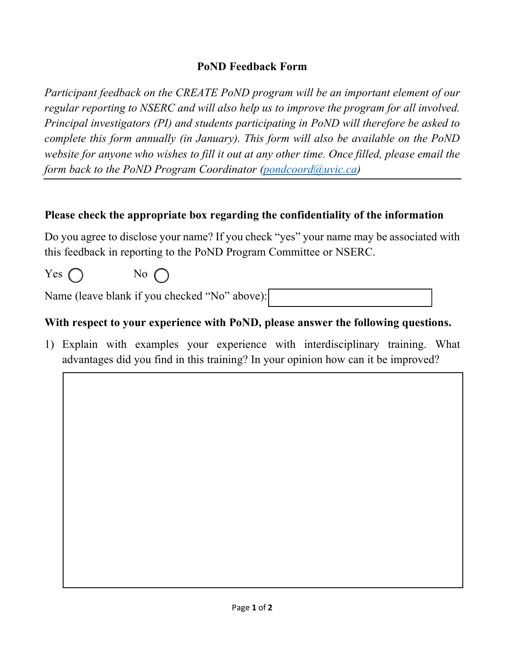## **PoND Feedback Form**

*Participant feedback on the CREATE PoND program will be an important element of our regular reporting to NSERC and will also help us to improve the program for all involved. Principal investigators (PI) and students participating in PoND will therefore be asked to complete this form annually (in January). This form will also be available on the PoND website for anyone who wishes to fill it out at any other time. Once filled, please email the form back to the PoND Program Coordinator (pondcoord@uvic.ca)*

## **Please check the appropriate box regarding the confidentiality of the information**

Do you agree to disclose your name? If you check "yes" your name may be associated with this feedback in reporting to the PoND Program Committee or NSERC.

 $Yes \bigcap$  No  $\bigcap$ 

Name (leave blank if you checked "No" above):

## **With respect to your experience with PoND, please answer the following questions.**

1) Explain with examples your experience with interdisciplinary training. What advantages did you find in this training? In your opinion how can it be improved?